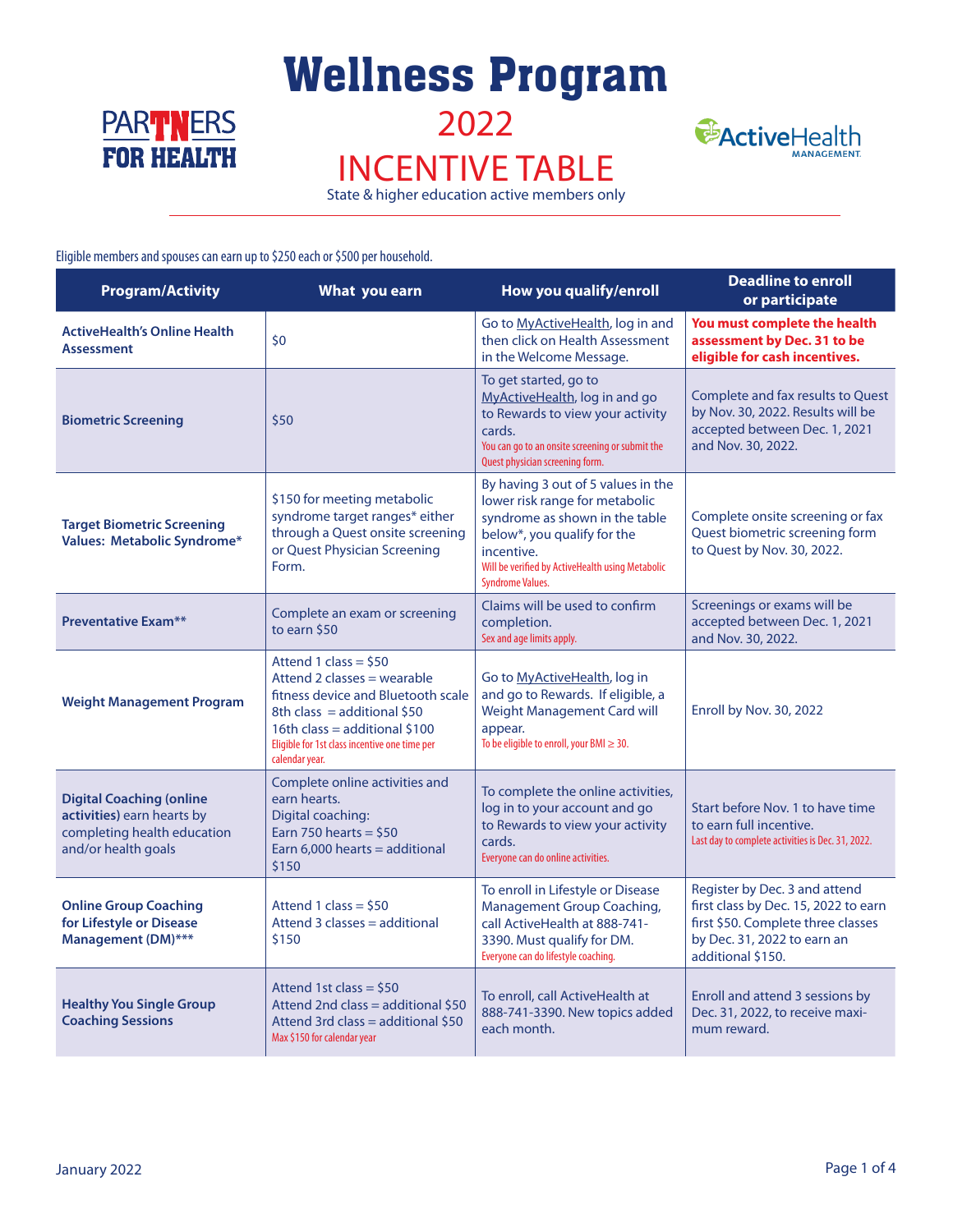# Wellness Program



# 2022 INCENTIVE TABLE State & higher education active members only



Eligible members and spouses can earn up to \$250 each or \$500 per household.

| <b>Program/Activity</b>                                                                                             | What you earn                                                                                                                                                                                                                    | How you qualify/enroll                                                                                                                                                                                                             | <b>Deadline to enroll</b><br>or participate                                                                                                                     |
|---------------------------------------------------------------------------------------------------------------------|----------------------------------------------------------------------------------------------------------------------------------------------------------------------------------------------------------------------------------|------------------------------------------------------------------------------------------------------------------------------------------------------------------------------------------------------------------------------------|-----------------------------------------------------------------------------------------------------------------------------------------------------------------|
| <b>ActiveHealth's Online Health</b><br><b>Assessment</b>                                                            | \$0                                                                                                                                                                                                                              | Go to MyActiveHealth, log in and<br>then click on Health Assessment<br>in the Welcome Message.                                                                                                                                     | You must complete the health<br>assessment by Dec. 31 to be<br>eligible for cash incentives.                                                                    |
| <b>Biometric Screening</b>                                                                                          | \$50                                                                                                                                                                                                                             | To get started, go to<br>MyActiveHealth, log in and go<br>to Rewards to view your activity<br>cards.<br>You can go to an onsite screening or submit the<br>Quest physician screening form.                                         | Complete and fax results to Quest<br>by Nov. 30, 2022. Results will be<br>accepted between Dec. 1, 2021<br>and Nov. 30, 2022.                                   |
| <b>Target Biometric Screening</b><br>Values: Metabolic Syndrome*                                                    | \$150 for meeting metabolic<br>syndrome target ranges* either<br>through a Quest onsite screening<br>or Quest Physician Screening<br>Form.                                                                                       | By having 3 out of 5 values in the<br>lower risk range for metabolic<br>syndrome as shown in the table<br>below*, you qualify for the<br>incentive.<br>Will be verified by ActiveHealth using Metabolic<br><b>Syndrome Values.</b> | Complete onsite screening or fax<br>Quest biometric screening form<br>to Quest by Nov. 30, 2022.                                                                |
| <b>Preventative Exam**</b>                                                                                          | Complete an exam or screening<br>to earn \$50                                                                                                                                                                                    | Claims will be used to confirm<br>completion.<br>Sex and age limits apply.                                                                                                                                                         | Screenings or exams will be<br>accepted between Dec. 1, 2021<br>and Nov. 30, 2022.                                                                              |
| <b>Weight Management Program</b>                                                                                    | Attend 1 class = $$50$<br>Attend 2 classes = wearable<br>fitness device and Bluetooth scale<br>$8th$ class = additional \$50<br>16th class = additional \$100<br>Eligible for 1st class incentive one time per<br>calendar year. | Go to MyActiveHealth, log in<br>and go to Rewards. If eligible, a<br>Weight Management Card will<br>appear.<br>To be eligible to enroll, your BMI $\geq$ 30.                                                                       | Enroll by Nov. 30, 2022                                                                                                                                         |
| <b>Digital Coaching (online</b><br>activities) earn hearts by<br>completing health education<br>and/or health goals | Complete online activities and<br>earn hearts.<br>Digital coaching:<br>Earn 750 hearts = $$50$<br>Earn $6,000$ hearts = additional<br>\$150                                                                                      | To complete the online activities,<br>log in to your account and go<br>to Rewards to view your activity<br>cards.<br>Everyone can do online activities.                                                                            | Start before Nov. 1 to have time<br>to earn full incentive.<br>Last day to complete activities is Dec. 31, 2022.                                                |
| <b>Online Group Coaching</b><br>for Lifestyle or Disease<br>Management (DM)***                                      | Attend 1 class = $$50$<br>Attend 3 classes = additional<br>\$150                                                                                                                                                                 | To enroll in Lifestyle or Disease<br>Management Group Coaching,<br>call ActiveHealth at 888-741-<br>3390. Must qualify for DM.<br>Everyone can do lifestyle coaching.                                                              | Register by Dec. 3 and attend<br>first class by Dec. 15, 2022 to earn<br>first \$50. Complete three classes<br>by Dec. 31, 2022 to earn an<br>additional \$150. |
| <b>Healthy You Single Group</b><br><b>Coaching Sessions</b>                                                         | Attend 1st class = $$50$<br>Attend 2nd class = additional \$50<br>Attend 3rd class = additional \$50<br>Max \$150 for calendar year                                                                                              | To enroll, call ActiveHealth at<br>888-741-3390. New topics added<br>each month.                                                                                                                                                   | Enroll and attend 3 sessions by<br>Dec. 31, 2022, to receive maxi-<br>mum reward.                                                                               |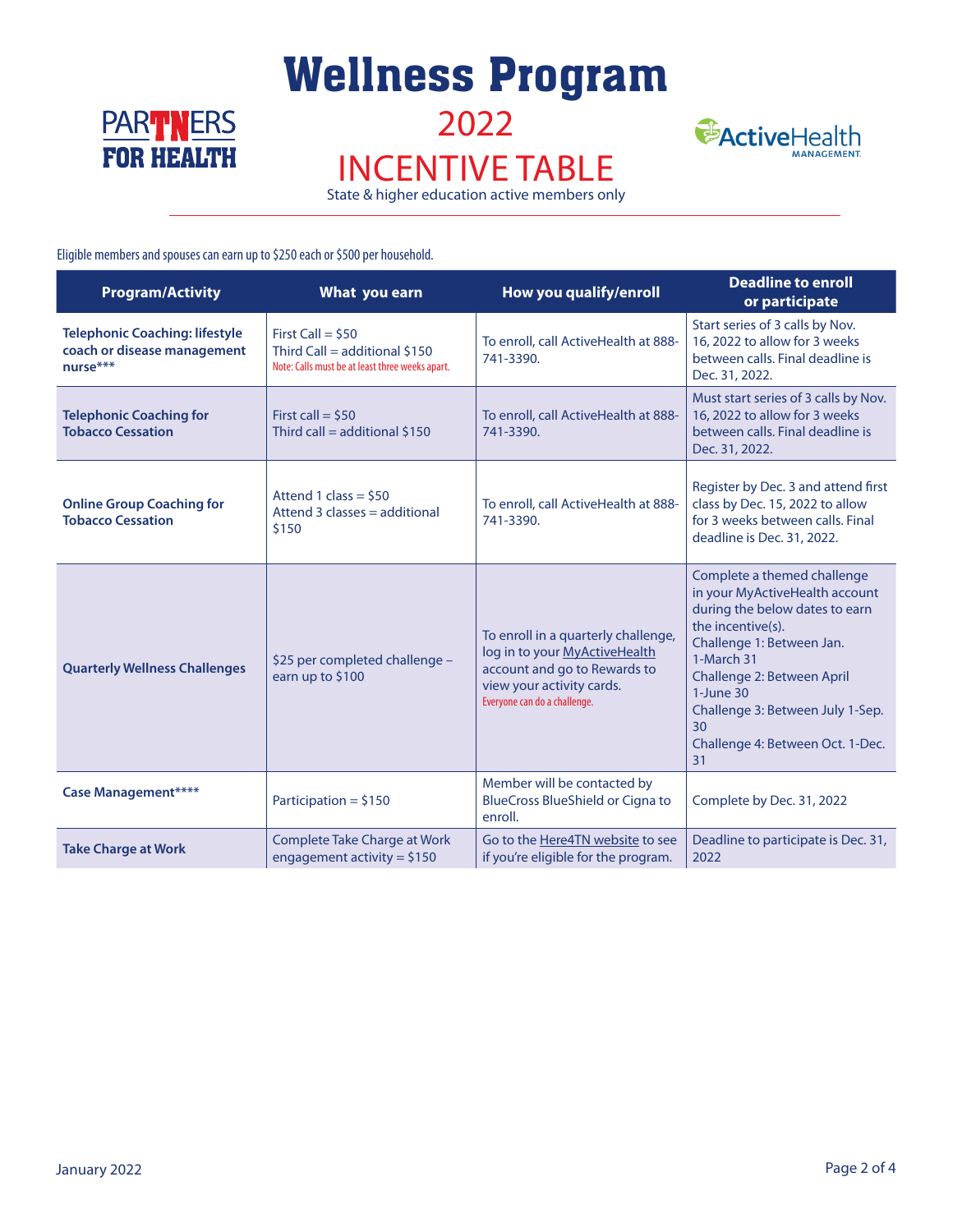



## 2022 INCENTIVE TABLE State & higher education active members only



Eligible members and spouses can earn up to \$250 each or \$500 per household.

| <b>Program/Activity</b>                                                          | What you earn                                                                                           | How you qualify/enroll                                                                                                                                            | <b>Deadline to enroll</b><br>or participate                                                                                                                                                                                                                                                    |
|----------------------------------------------------------------------------------|---------------------------------------------------------------------------------------------------------|-------------------------------------------------------------------------------------------------------------------------------------------------------------------|------------------------------------------------------------------------------------------------------------------------------------------------------------------------------------------------------------------------------------------------------------------------------------------------|
| <b>Telephonic Coaching: lifestyle</b><br>coach or disease management<br>nurse*** | First Call = $$50$<br>Third Call = additional $$150$<br>Note: Calls must be at least three weeks apart. | To enroll, call ActiveHealth at 888-<br>741-3390.                                                                                                                 | Start series of 3 calls by Nov.<br>16, 2022 to allow for 3 weeks<br>between calls. Final deadline is<br>Dec. 31, 2022.                                                                                                                                                                         |
| <b>Telephonic Coaching for</b><br><b>Tobacco Cessation</b>                       | First call = $$50$<br>Third call = additional $$150$                                                    | To enroll, call ActiveHealth at 888-<br>741-3390.                                                                                                                 | Must start series of 3 calls by Nov.<br>16, 2022 to allow for 3 weeks<br>between calls. Final deadline is<br>Dec. 31, 2022.                                                                                                                                                                    |
| <b>Online Group Coaching for</b><br><b>Tobacco Cessation</b>                     | Attend 1 class = $$50$<br>Attend 3 classes = additional<br>\$150                                        | To enroll, call ActiveHealth at 888-<br>741-3390.                                                                                                                 | Register by Dec. 3 and attend first<br>class by Dec. 15, 2022 to allow<br>for 3 weeks between calls. Final<br>deadline is Dec. 31, 2022.                                                                                                                                                       |
| <b>Quarterly Wellness Challenges</b>                                             | \$25 per completed challenge -<br>earn up to \$100                                                      | To enroll in a quarterly challenge,<br>log in to your MyActiveHealth<br>account and go to Rewards to<br>view your activity cards.<br>Everyone can do a challenge. | Complete a themed challenge<br>in your MyActiveHealth account<br>during the below dates to earn<br>the incentive(s).<br>Challenge 1: Between Jan.<br>1-March 31<br>Challenge 2: Between April<br>1-June 30<br>Challenge 3: Between July 1-Sep.<br>30<br>Challenge 4: Between Oct. 1-Dec.<br>31 |
| <b>Case Management****</b>                                                       | Participation = $$150$                                                                                  | Member will be contacted by<br><b>BlueCross BlueShield or Cigna to</b><br>enroll.                                                                                 | Complete by Dec. 31, 2022                                                                                                                                                                                                                                                                      |
| <b>Take Charge at Work</b>                                                       | <b>Complete Take Charge at Work</b><br>engagement activity = $$150$                                     | Go to the Here4TN website to see<br>if you're eligible for the program.                                                                                           | Deadline to participate is Dec. 31,<br>2022                                                                                                                                                                                                                                                    |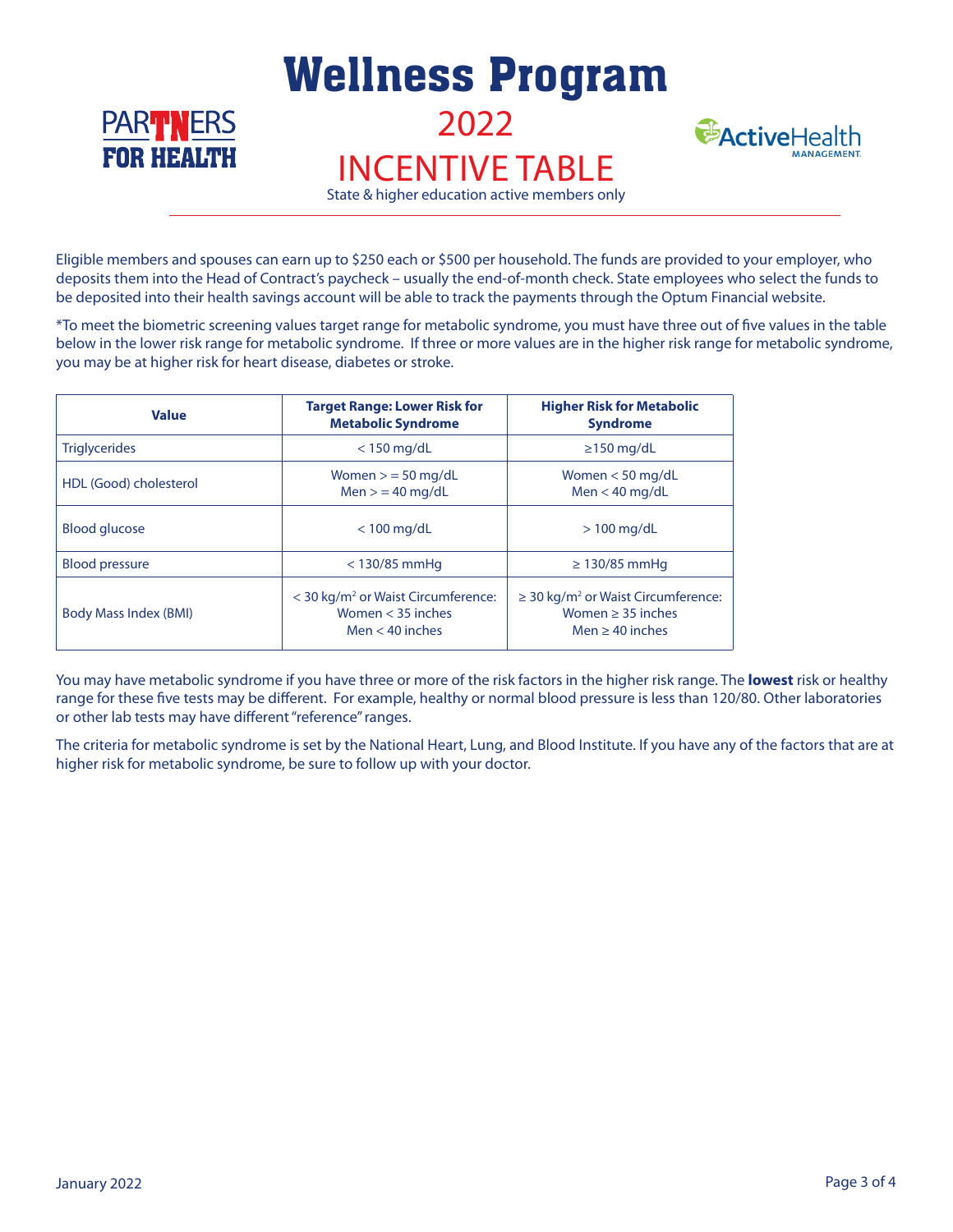

Eligible members and spouses can earn up to \$250 each or \$500 per household. The funds are provided to your employer, who deposits them into the Head of Contract's paycheck – usually the end-of-month check. State employees who select the funds to be deposited into their health savings account will be able to track the payments through the Optum Financial website.

\*To meet the biometric screening values target range for metabolic syndrome, you must have three out of five values in the table below in the lower risk range for metabolic syndrome. If three or more values are in the higher risk range for metabolic syndrome, you may be at higher risk for heart disease, diabetes or stroke.

| <b>Value</b>                 | <b>Target Range: Lower Risk for</b><br><b>Metabolic Syndrome</b>                           | <b>Higher Risk for Metabolic</b><br><b>Syndrome</b>                                                   |
|------------------------------|--------------------------------------------------------------------------------------------|-------------------------------------------------------------------------------------------------------|
| <b>Triglycerides</b>         | $<$ 150 mg/dL                                                                              | $\geq$ 150 mg/dL                                                                                      |
| HDL (Good) cholesterol       | Women $>$ = 50 mg/dL<br>$Men > = 40$ mg/dL                                                 | Women $<$ 50 mg/dL<br>Men $<$ 40 mg/dL                                                                |
| <b>Blood glucose</b>         | $<$ 100 mg/dL                                                                              | $> 100$ mg/dL                                                                                         |
| <b>Blood pressure</b>        | $<$ 130/85 mmHg                                                                            | $\geq$ 130/85 mmHq                                                                                    |
| <b>Body Mass Index (BMI)</b> | < 30 kg/m <sup>2</sup> or Waist Circumference:<br>Women $<$ 35 inches<br>Men $<$ 40 inches | $\geq$ 30 kg/m <sup>2</sup> or Waist Circumference:<br>Women $\geq$ 35 inches<br>Men $\geq$ 40 inches |

You may have metabolic syndrome if you have three or more of the risk factors in the higher risk range. The **lowest** risk or healthy range for these five tests may be different. For example, healthy or normal blood pressure is less than 120/80. Other laboratories or other lab tests may have different "reference" ranges.

The criteria for metabolic syndrome is set by the National Heart, Lung, and Blood Institute. If you have any of the factors that are at higher risk for metabolic syndrome, be sure to follow up with your doctor.